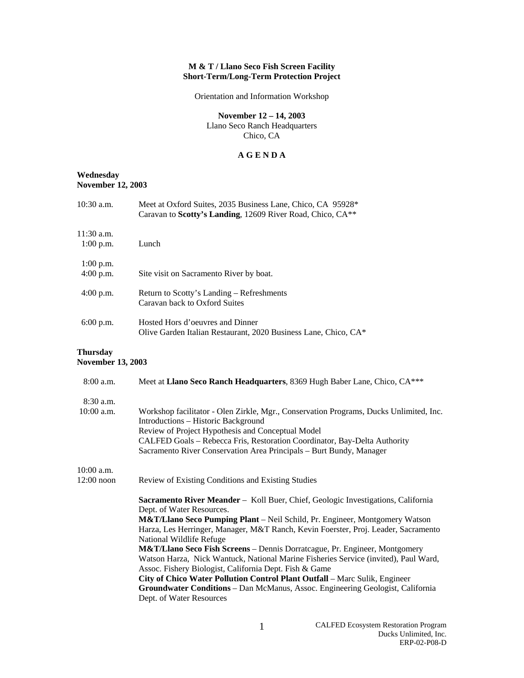## **M & T / Llano Seco Fish Screen Facility Short-Term/Long-Term Protection Project**

Orientation and Information Workshop

**November 12 – 14, 2003** 

Llano Seco Ranch Headquarters Chico, CA

# **A G E N D A**

### **Wednesday November 12, 2003**

| 10:30 a.m.                                  | Meet at Oxford Suites, 2035 Business Lane, Chico, CA 95928*<br>Caravan to Scotty's Landing, 12609 River Road, Chico, CA**                                                                                                                                                                                                                                                                                                                                                                                                                                                                                                                                                                                                                 |
|---------------------------------------------|-------------------------------------------------------------------------------------------------------------------------------------------------------------------------------------------------------------------------------------------------------------------------------------------------------------------------------------------------------------------------------------------------------------------------------------------------------------------------------------------------------------------------------------------------------------------------------------------------------------------------------------------------------------------------------------------------------------------------------------------|
| $11:30$ a.m.                                |                                                                                                                                                                                                                                                                                                                                                                                                                                                                                                                                                                                                                                                                                                                                           |
| $1:00$ p.m.                                 | Lunch                                                                                                                                                                                                                                                                                                                                                                                                                                                                                                                                                                                                                                                                                                                                     |
| $1:00$ p.m.                                 |                                                                                                                                                                                                                                                                                                                                                                                                                                                                                                                                                                                                                                                                                                                                           |
| $4:00$ p.m.                                 | Site visit on Sacramento River by boat.                                                                                                                                                                                                                                                                                                                                                                                                                                                                                                                                                                                                                                                                                                   |
| $4:00$ p.m.                                 | Return to Scotty's Landing - Refreshments<br>Caravan back to Oxford Suites                                                                                                                                                                                                                                                                                                                                                                                                                                                                                                                                                                                                                                                                |
| 6:00 p.m.                                   | Hosted Hors d'oeuvres and Dinner<br>Olive Garden Italian Restaurant, 2020 Business Lane, Chico, CA*                                                                                                                                                                                                                                                                                                                                                                                                                                                                                                                                                                                                                                       |
| <b>Thursday</b><br><b>November 13, 2003</b> |                                                                                                                                                                                                                                                                                                                                                                                                                                                                                                                                                                                                                                                                                                                                           |
| 8:00 a.m.                                   | Meet at Llano Seco Ranch Headquarters, 8369 Hugh Baber Lane, Chico, CA***                                                                                                                                                                                                                                                                                                                                                                                                                                                                                                                                                                                                                                                                 |
| $8:30$ a.m.                                 |                                                                                                                                                                                                                                                                                                                                                                                                                                                                                                                                                                                                                                                                                                                                           |
| 10:00 a.m.                                  | Workshop facilitator - Olen Zirkle, Mgr., Conservation Programs, Ducks Unlimited, Inc.<br>Introductions - Historic Background<br>Review of Project Hypothesis and Conceptual Model<br>CALFED Goals - Rebecca Fris, Restoration Coordinator, Bay-Delta Authority<br>Sacramento River Conservation Area Principals - Burt Bundy, Manager                                                                                                                                                                                                                                                                                                                                                                                                    |
| $10:00$ a.m.                                |                                                                                                                                                                                                                                                                                                                                                                                                                                                                                                                                                                                                                                                                                                                                           |
| $12:00$ noon                                | Review of Existing Conditions and Existing Studies                                                                                                                                                                                                                                                                                                                                                                                                                                                                                                                                                                                                                                                                                        |
|                                             | Sacramento River Meander - Koll Buer, Chief, Geologic Investigations, California<br>Dept. of Water Resources.<br>M&T/Llano Seco Pumping Plant - Neil Schild, Pr. Engineer, Montgomery Watson<br>Harza, Les Herringer, Manager, M&T Ranch, Kevin Foerster, Proj. Leader, Sacramento<br>National Wildlife Refuge<br>M&T/Llano Seco Fish Screens - Dennis Dorratcague, Pr. Engineer, Montgomery<br>Watson Harza, Nick Wantuck, National Marine Fisheries Service (invited), Paul Ward,<br>Assoc. Fishery Biologist, California Dept. Fish & Game<br>City of Chico Water Pollution Control Plant Outfall - Marc Sulik, Engineer<br>Groundwater Conditions - Dan McManus, Assoc. Engineering Geologist, California<br>Dept. of Water Resources |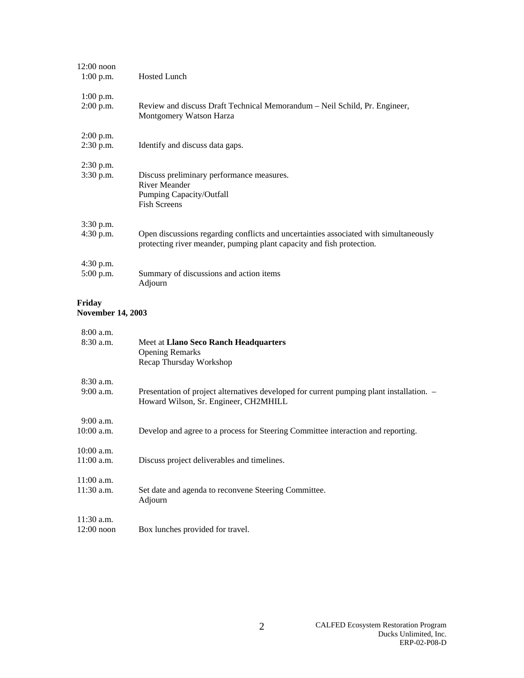| <b>Hosted Lunch</b>                                                                                                                                            |
|----------------------------------------------------------------------------------------------------------------------------------------------------------------|
| Review and discuss Draft Technical Memorandum - Neil Schild, Pr. Engineer,<br>Montgomery Watson Harza                                                          |
|                                                                                                                                                                |
| Identify and discuss data gaps.                                                                                                                                |
|                                                                                                                                                                |
| Discuss preliminary performance measures.<br><b>River Meander</b><br>Pumping Capacity/Outfall<br><b>Fish Screens</b>                                           |
|                                                                                                                                                                |
| Open discussions regarding conflicts and uncertainties associated with simultaneously<br>protecting river meander, pumping plant capacity and fish protection. |
|                                                                                                                                                                |
| Summary of discussions and action items<br>Adjourn                                                                                                             |
| <b>November 14, 2003</b>                                                                                                                                       |
| Meet at Llano Seco Ranch Headquarters                                                                                                                          |
| <b>Opening Remarks</b><br>Recap Thursday Workshop                                                                                                              |
| Presentation of project alternatives developed for current pumping plant installation. -<br>Howard Wilson, Sr. Engineer, CH2MHILL                              |
| Develop and agree to a process for Steering Committee interaction and reporting.                                                                               |
|                                                                                                                                                                |
| Discuss project deliverables and timelines.                                                                                                                    |
| Set date and agenda to reconvene Steering Committee.<br>Adjourn                                                                                                |
| Box lunches provided for travel.                                                                                                                               |
|                                                                                                                                                                |